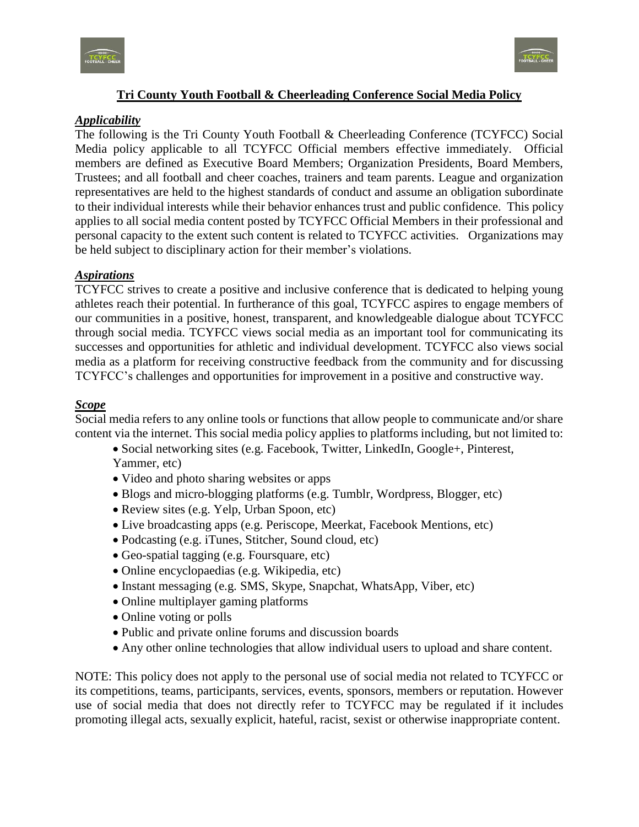



# **Tri County Youth Football & Cheerleading Conference Social Media Policy**

### *Applicability*

The following is the Tri County Youth Football & Cheerleading Conference (TCYFCC) Social Media policy applicable to all TCYFCC Official members effective immediately. Official members are defined as Executive Board Members; Organization Presidents, Board Members, Trustees; and all football and cheer coaches, trainers and team parents. League and organization representatives are held to the highest standards of conduct and assume an obligation subordinate to their individual interests while their behavior enhances trust and public confidence. This policy applies to all social media content posted by TCYFCC Official Members in their professional and personal capacity to the extent such content is related to TCYFCC activities. Organizations may be held subject to disciplinary action for their member's violations.

### *Aspirations*

TCYFCC strives to create a positive and inclusive conference that is dedicated to helping young athletes reach their potential. In furtherance of this goal, TCYFCC aspires to engage members of our communities in a positive, honest, transparent, and knowledgeable dialogue about TCYFCC through social media. TCYFCC views social media as an important tool for communicating its successes and opportunities for athletic and individual development. TCYFCC also views social media as a platform for receiving constructive feedback from the community and for discussing TCYFCC's challenges and opportunities for improvement in a positive and constructive way.

#### *Scope*

Social media refers to any online tools or functions that allow people to communicate and/or share content via the internet. This social media policy applies to platforms including, but not limited to:

- Social networking sites (e.g. Facebook, Twitter, LinkedIn, Google+, Pinterest,
- Yammer, etc)
- Video and photo sharing websites or apps
- Blogs and micro-blogging platforms (e.g. Tumblr, Wordpress, Blogger, etc)
- Review sites (e.g. Yelp, Urban Spoon, etc)
- Live broadcasting apps (e.g. Periscope, Meerkat, Facebook Mentions, etc)
- Podcasting (e.g. iTunes, Stitcher, Sound cloud, etc)
- Geo-spatial tagging (e.g. Foursquare, etc)
- Online encyclopaedias (e.g. Wikipedia, etc)
- Instant messaging (e.g. SMS, Skype, Snapchat, WhatsApp, Viber, etc)
- Online multiplayer gaming platforms
- Online voting or polls
- Public and private online forums and discussion boards
- Any other online technologies that allow individual users to upload and share content.

NOTE: This policy does not apply to the personal use of social media not related to TCYFCC or its competitions, teams, participants, services, events, sponsors, members or reputation. However use of social media that does not directly refer to TCYFCC may be regulated if it includes promoting illegal acts, sexually explicit, hateful, racist, sexist or otherwise inappropriate content.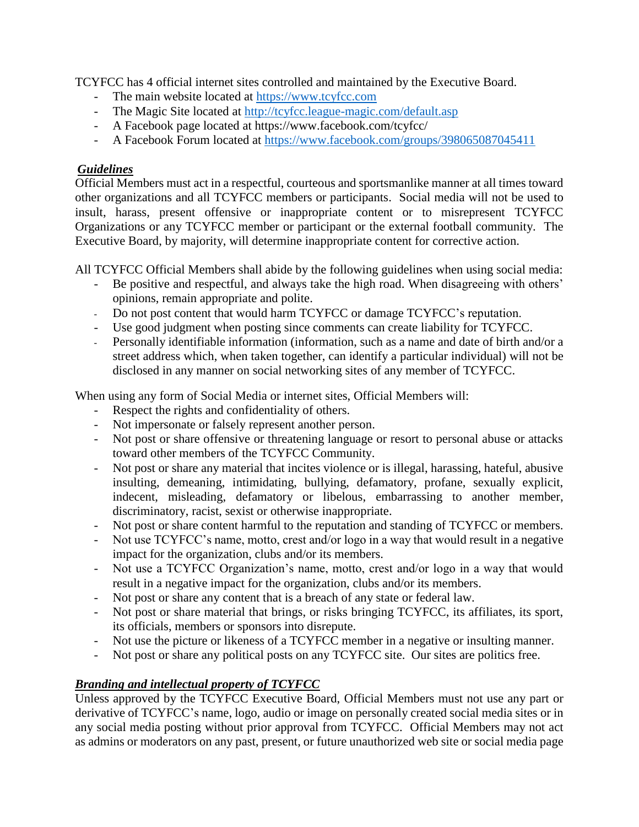TCYFCC has 4 official internet sites controlled and maintained by the Executive Board.

- The main website located at [https://www.tcyfcc.com](https://www.tcyfcc.com/)
- The Magic Site located at<http://tcyfcc.league-magic.com/default.asp>
- A Facebook page located at https://www.facebook.com/tcyfcc/
- A Facebook Forum located at<https://www.facebook.com/groups/398065087045411>

# *Guidelines*

Official Members must act in a respectful, courteous and sportsmanlike manner at all times toward other organizations and all TCYFCC members or participants. Social media will not be used to insult, harass, present offensive or inappropriate content or to misrepresent TCYFCC Organizations or any TCYFCC member or participant or the external football community. The Executive Board, by majority, will determine inappropriate content for corrective action.

All TCYFCC Official Members shall abide by the following guidelines when using social media:

- Be positive and respectful, and always take the high road. When disagreeing with others' opinions, remain appropriate and polite.
- Do not post content that would harm TCYFCC or damage TCYFCC's reputation.
- Use good judgment when posting since comments can create liability for TCYFCC.
- Personally identifiable information (information, such as a name and date of birth and/or a street address which, when taken together, can identify a particular individual) will not be disclosed in any manner on social networking sites of any member of TCYFCC.

When using any form of Social Media or internet sites, Official Members will:

- Respect the rights and confidentiality of others.
- Not impersonate or falsely represent another person.
- Not post or share offensive or threatening language or resort to personal abuse or attacks toward other members of the TCYFCC Community.
- Not post or share any material that incites violence or is illegal, harassing, hateful, abusive insulting, demeaning, intimidating, bullying, defamatory, profane, sexually explicit, indecent, misleading, defamatory or libelous, embarrassing to another member, discriminatory, racist, sexist or otherwise inappropriate.
- Not post or share content harmful to the reputation and standing of TCYFCC or members.
- Not use TCYFCC's name, motto, crest and/or logo in a way that would result in a negative impact for the organization, clubs and/or its members.
- Not use a TCYFCC Organization's name, motto, crest and/or logo in a way that would result in a negative impact for the organization, clubs and/or its members.
- Not post or share any content that is a breach of any state or federal law.
- Not post or share material that brings, or risks bringing TCYFCC, its affiliates, its sport, its officials, members or sponsors into disrepute.
- Not use the picture or likeness of a TCYFCC member in a negative or insulting manner.
- Not post or share any political posts on any TCYFCC site. Our sites are politics free.

# *Branding and intellectual property of TCYFCC*

Unless approved by the TCYFCC Executive Board, Official Members must not use any part or derivative of TCYFCC's name, logo, audio or image on personally created social media sites or in any social media posting without prior approval from TCYFCC. Official Members may not act as admins or moderators on any past, present, or future unauthorized web site or social media page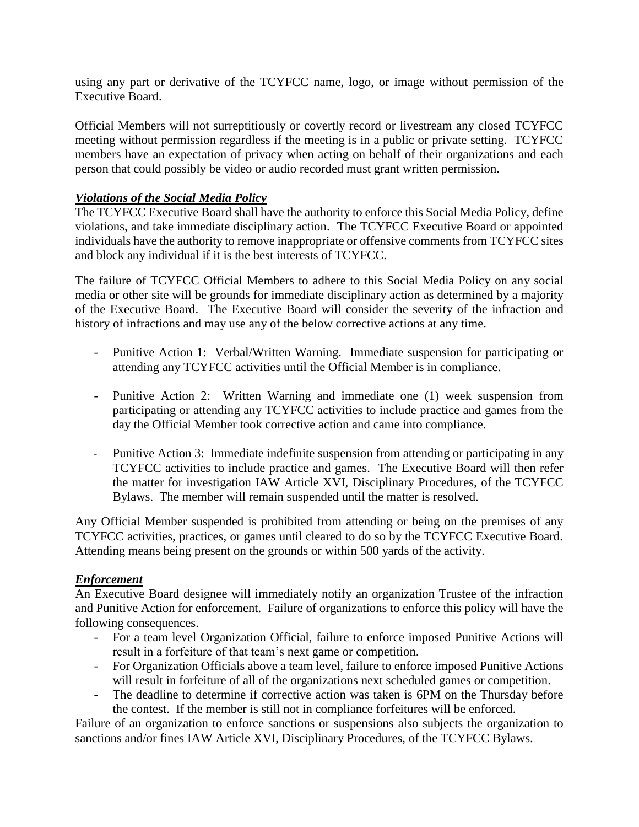using any part or derivative of the TCYFCC name, logo, or image without permission of the Executive Board.

Official Members will not surreptitiously or covertly record or livestream any closed TCYFCC meeting without permission regardless if the meeting is in a public or private setting. TCYFCC members have an expectation of privacy when acting on behalf of their organizations and each person that could possibly be video or audio recorded must grant written permission.

## *Violations of the Social Media Policy*

The TCYFCC Executive Board shall have the authority to enforce this Social Media Policy, define violations, and take immediate disciplinary action. The TCYFCC Executive Board or appointed individuals have the authority to remove inappropriate or offensive comments from TCYFCC sites and block any individual if it is the best interests of TCYFCC.

The failure of TCYFCC Official Members to adhere to this Social Media Policy on any social media or other site will be grounds for immediate disciplinary action as determined by a majority of the Executive Board. The Executive Board will consider the severity of the infraction and history of infractions and may use any of the below corrective actions at any time.

- Punitive Action 1: Verbal/Written Warning. Immediate suspension for participating or attending any TCYFCC activities until the Official Member is in compliance.
- Punitive Action 2: Written Warning and immediate one (1) week suspension from participating or attending any TCYFCC activities to include practice and games from the day the Official Member took corrective action and came into compliance.
- Punitive Action 3: Immediate indefinite suspension from attending or participating in any TCYFCC activities to include practice and games. The Executive Board will then refer the matter for investigation IAW Article XVI, Disciplinary Procedures, of the TCYFCC Bylaws. The member will remain suspended until the matter is resolved.

Any Official Member suspended is prohibited from attending or being on the premises of any TCYFCC activities, practices, or games until cleared to do so by the TCYFCC Executive Board. Attending means being present on the grounds or within 500 yards of the activity.

### *Enforcement*

An Executive Board designee will immediately notify an organization Trustee of the infraction and Punitive Action for enforcement. Failure of organizations to enforce this policy will have the following consequences.

- For a team level Organization Official, failure to enforce imposed Punitive Actions will result in a forfeiture of that team's next game or competition.
- For Organization Officials above a team level, failure to enforce imposed Punitive Actions will result in forfeiture of all of the organizations next scheduled games or competition.
- The deadline to determine if corrective action was taken is 6PM on the Thursday before the contest. If the member is still not in compliance forfeitures will be enforced.

Failure of an organization to enforce sanctions or suspensions also subjects the organization to sanctions and/or fines IAW Article XVI, Disciplinary Procedures, of the TCYFCC Bylaws.